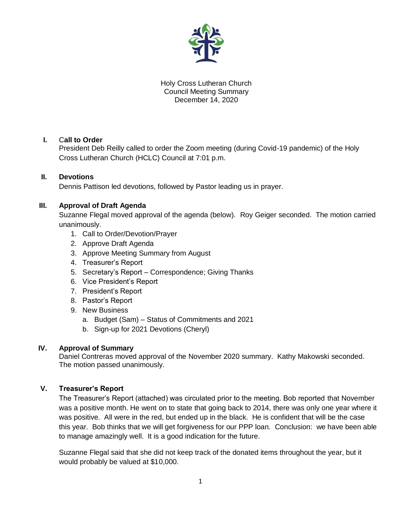

Holy Cross Lutheran Church Council Meeting Summary December 14, 2020

# **I.** C**all to Order**

President Deb Reilly called to order the Zoom meeting (during Covid-19 pandemic) of the Holy Cross Lutheran Church (HCLC) Council at 7:01 p.m.

## **II. Devotions**

Dennis Pattison led devotions, followed by Pastor leading us in prayer.

## **III. Approval of Draft Agenda**

Suzanne Flegal moved approval of the agenda (below). Roy Geiger seconded. The motion carried unanimously.

- 1. Call to Order/Devotion/Prayer
- 2. Approve Draft Agenda
- 3. Approve Meeting Summary from August
- 4. Treasurer's Report
- 5. Secretary's Report Correspondence; Giving Thanks
- 6. Vice President's Report
- 7. President's Report
- 8. Pastor's Report
- 9. New Business
	- a. Budget (Sam) Status of Commitments and 2021
	- b. Sign-up for 2021 Devotions (Cheryl)

### **IV. Approval of Summary**

Daniel Contreras moved approval of the November 2020 summary. Kathy Makowski seconded. The motion passed unanimously.

# **V. Treasurer's Report**

The Treasurer's Report (attached) was circulated prior to the meeting. Bob reported that November was a positive month. He went on to state that going back to 2014, there was only one year where it was positive. All were in the red, but ended up in the black. He is confident that will be the case this year. Bob thinks that we will get forgiveness for our PPP loan. Conclusion: we have been able to manage amazingly well. It is a good indication for the future.

Suzanne Flegal said that she did not keep track of the donated items throughout the year, but it would probably be valued at \$10,000.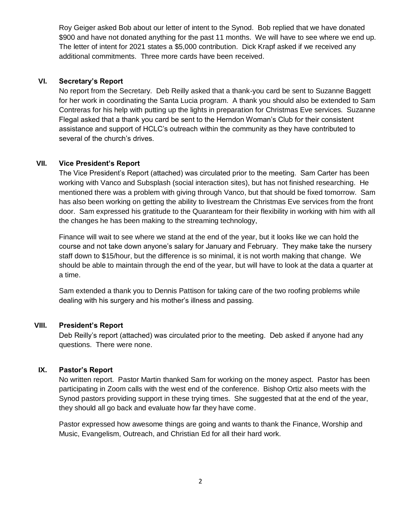Roy Geiger asked Bob about our letter of intent to the Synod. Bob replied that we have donated \$900 and have not donated anything for the past 11 months. We will have to see where we end up. The letter of intent for 2021 states a \$5,000 contribution. Dick Krapf asked if we received any additional commitments. Three more cards have been received.

#### **VI. Secretary's Report**

No report from the Secretary. Deb Reilly asked that a thank-you card be sent to Suzanne Baggett for her work in coordinating the Santa Lucia program. A thank you should also be extended to Sam Contreras for his help with putting up the lights in preparation for Christmas Eve services. Suzanne Flegal asked that a thank you card be sent to the Herndon Woman's Club for their consistent assistance and support of HCLC's outreach within the community as they have contributed to several of the church's drives.

### **VII. Vice President's Report**

The Vice President's Report (attached) was circulated prior to the meeting. Sam Carter has been working with Vanco and Subsplash (social interaction sites), but has not finished researching. He mentioned there was a problem with giving through Vanco, but that should be fixed tomorrow. Sam has also been working on getting the ability to livestream the Christmas Eve services from the front door. Sam expressed his gratitude to the Quaranteam for their flexibility in working with him with all the changes he has been making to the streaming technology,

Finance will wait to see where we stand at the end of the year, but it looks like we can hold the course and not take down anyone's salary for January and February. They make take the nursery staff down to \$15/hour, but the difference is so minimal, it is not worth making that change. We should be able to maintain through the end of the year, but will have to look at the data a quarter at a time.

Sam extended a thank you to Dennis Pattison for taking care of the two roofing problems while dealing with his surgery and his mother's illness and passing.

#### **VIII. President's Report**

Deb Reilly's report (attached) was circulated prior to the meeting. Deb asked if anyone had any questions. There were none.

### **IX. Pastor's Report**

No written report. Pastor Martin thanked Sam for working on the money aspect. Pastor has been participating in Zoom calls with the west end of the conference. Bishop Ortiz also meets with the Synod pastors providing support in these trying times. She suggested that at the end of the year, they should all go back and evaluate how far they have come.

Pastor expressed how awesome things are going and wants to thank the Finance, Worship and Music, Evangelism, Outreach, and Christian Ed for all their hard work.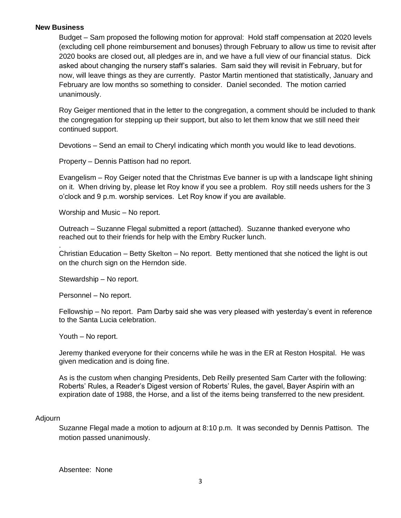#### **New Business**

.

Budget – Sam proposed the following motion for approval: Hold staff compensation at 2020 levels (excluding cell phone reimbursement and bonuses) through February to allow us time to revisit after 2020 books are closed out, all pledges are in, and we have a full view of our financial status. Dick asked about changing the nursery staff's salaries. Sam said they will revisit in February, but for now, will leave things as they are currently. Pastor Martin mentioned that statistically, January and February are low months so something to consider. Daniel seconded. The motion carried unanimously.

Roy Geiger mentioned that in the letter to the congregation, a comment should be included to thank the congregation for stepping up their support, but also to let them know that we still need their continued support.

Devotions – Send an email to Cheryl indicating which month you would like to lead devotions.

Property – Dennis Pattison had no report.

Evangelism – Roy Geiger noted that the Christmas Eve banner is up with a landscape light shining on it. When driving by, please let Roy know if you see a problem. Roy still needs ushers for the 3 o'clock and 9 p.m. worship services. Let Roy know if you are available.

Worship and Music – No report.

Outreach – Suzanne Flegal submitted a report (attached). Suzanne thanked everyone who reached out to their friends for help with the Embry Rucker lunch.

Christian Education – Betty Skelton – No report. Betty mentioned that she noticed the light is out on the church sign on the Herndon side.

Stewardship – No report.

Personnel – No report.

Fellowship – No report. Pam Darby said she was very pleased with yesterday's event in reference to the Santa Lucia celebration.

Youth – No report.

Jeremy thanked everyone for their concerns while he was in the ER at Reston Hospital. He was given medication and is doing fine.

As is the custom when changing Presidents, Deb Reilly presented Sam Carter with the following: Roberts' Rules, a Reader's Digest version of Roberts' Rules, the gavel, Bayer Aspirin with an expiration date of 1988, the Horse, and a list of the items being transferred to the new president.

#### Adjourn

Suzanne Flegal made a motion to adjourn at 8:10 p.m. It was seconded by Dennis Pattison. The motion passed unanimously.

Absentee: None